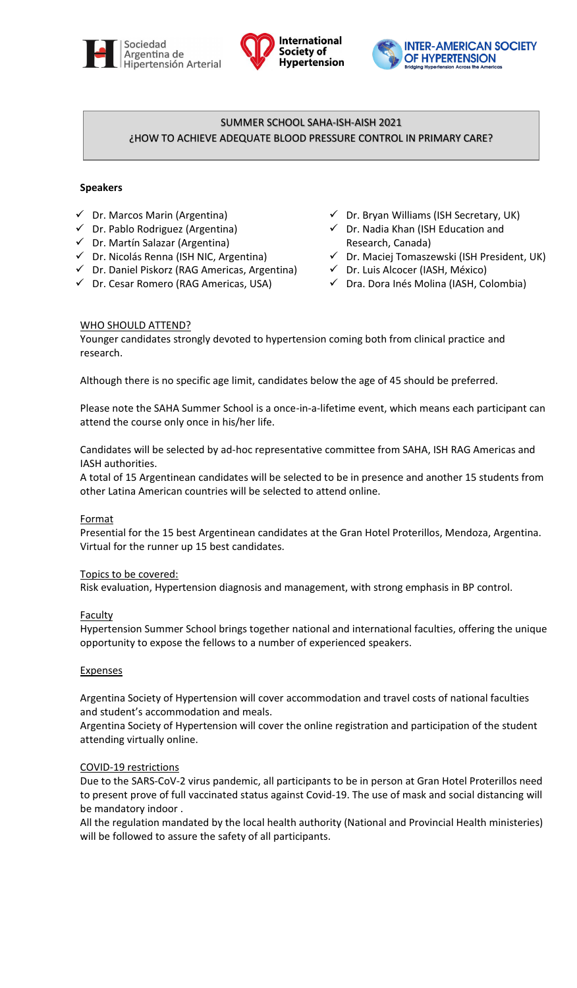





# SUMMER SCHOOL SAHA-ISH-AISH 2021 ¿HOW TO ACHIEVE ADEQUATE BLOOD PRESSURE CONTROL IN PRIMARY CARE?

# **Speakers**

- $\checkmark$  Dr. Marcos Marin (Argentina)
- $\checkmark$  Dr. Pablo Rodriguez (Argentina)
- Dr. Martín Salazar (Argentina)
- $\checkmark$  Dr. Nicolás Renna (ISH NIC, Argentina)
- $\checkmark$  Dr. Daniel Piskorz (RAG Americas, Argentina)
- Dr. Cesar Romero (RAG Americas, USA)
- $\checkmark$  Dr. Bryan Williams (ISH Secretary, UK)
- $\checkmark$  Dr. Nadia Khan (ISH Education and Research, Canada)
- $\checkmark$  Dr. Maciej Tomaszewski (ISH President, UK)
- Dr. Luis Alcocer (IASH, México)
- Dra. Dora Inés Molina (IASH, Colombia)

# WHO SHOULD ATTEND?

Younger candidates strongly devoted to hypertension coming both from clinical practice and research.

Although there is no specific age limit, candidates below the age of 45 should be preferred.

Please note the SAHA Summer School is a once-in-a-lifetime event, which means each participant can attend the course only once in his/her life.

Candidates will be selected by ad-hoc representative committee from SAHA, ISH RAG Americas and IASH authorities.

A total of 15 Argentinean candidates will be selected to be in presence and another 15 students from other Latina American countries will be selected to attend online.

## **Format**

Presential for the 15 best Argentinean candidates at the Gran Hotel Proterillos, Mendoza, Argentina. Virtual for the runner up 15 best candidates.

## Topics to be covered:

Risk evaluation, Hypertension diagnosis and management, with strong emphasis in BP control.

## **Faculty**

Hypertension Summer School brings together national and international faculties, offering the unique opportunity to expose the fellows to a number of experienced speakers.

## **Expenses**

Argentina Society of Hypertension will cover accommodation and travel costs of national faculties and student's accommodation and meals.

Argentina Society of Hypertension will cover the online registration and participation of the student attending virtually online.

# COVID-19 restrictions

Due to the SARS-CoV-2 virus pandemic, all participants to be in person at Gran Hotel Proterillos need to present prove of full vaccinated status against Covid-19. The use of mask and social distancing will be mandatory indoor .

All the regulation mandated by the local health authority (National and Provincial Health ministeries) will be followed to assure the safety of all participants.